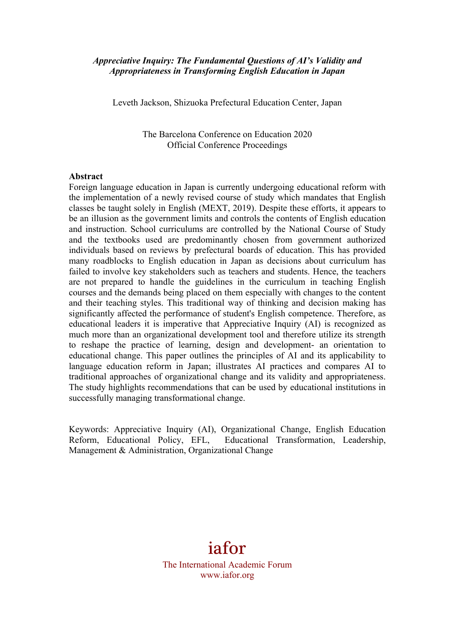### *Appreciative Inquiry: The Fundamental Questions of AI's Validity and Appropriateness in Transforming English Education in Japan*

Leveth Jackson, Shizuoka Prefectural Education Center, Japan

The Barcelona Conference on Education 2020 Official Conference Proceedings

#### **Abstract**

Foreign language education in Japan is currently undergoing educational reform with the implementation of a newly revised course of study which mandates that English classes be taught solely in English (MEXT, 2019). Despite these efforts, it appears to be an illusion as the government limits and controls the contents of English education and instruction. School curriculums are controlled by the National Course of Study and the textbooks used are predominantly chosen from government authorized individuals based on reviews by prefectural boards of education. This has provided many roadblocks to English education in Japan as decisions about curriculum has failed to involve key stakeholders such as teachers and students. Hence, the teachers are not prepared to handle the guidelines in the curriculum in teaching English courses and the demands being placed on them especially with changes to the content and their teaching styles. This traditional way of thinking and decision making has significantly affected the performance of student's English competence. Therefore, as educational leaders it is imperative that Appreciative Inquiry (AI) is recognized as much more than an organizational development tool and therefore utilize its strength to reshape the practice of learning, design and development- an orientation to educational change. This paper outlines the principles of AI and its applicability to language education reform in Japan; illustrates AI practices and compares AI to traditional approaches of organizational change and its validity and appropriateness. The study highlights recommendations that can be used by educational institutions in successfully managing transformational change.

Keywords: Appreciative Inquiry (AI), Organizational Change, English Education Reform, Educational Policy, EFL, Educational Transformation, Leadership, Management & Administration, Organizational Change

# iafor The International Academic Forum www.iafor.org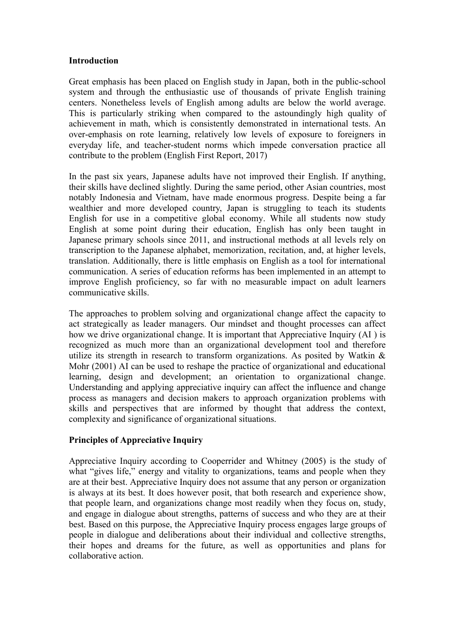### **Introduction**

Great emphasis has been placed on English study in Japan, both in the public-school system and through the enthusiastic use of thousands of private English training centers. Nonetheless levels of English among adults are below the world average. This is particularly striking when compared to the astoundingly high quality of achievement in math, which is consistently demonstrated in international tests. An over-emphasis on rote learning, relatively low levels of exposure to foreigners in everyday life, and teacher-student norms which impede conversation practice all contribute to the problem (English First Report, 2017)

In the past six years, Japanese adults have not improved their English. If anything, their skills have declined slightly. During the same period, other Asian countries, most notably Indonesia and Vietnam, have made enormous progress. Despite being a far wealthier and more developed country, Japan is struggling to teach its students English for use in a competitive global economy. While all students now study English at some point during their education, English has only been taught in Japanese primary schools since 2011, and instructional methods at all levels rely on transcription to the Japanese alphabet, memorization, recitation, and, at higher levels, translation. Additionally, there is little emphasis on English as a tool for international communication. A series of education reforms has been implemented in an attempt to improve English proficiency, so far with no measurable impact on adult learners communicative skills.

The approaches to problem solving and organizational change affect the capacity to act strategically as leader managers. Our mindset and thought processes can affect how we drive organizational change. It is important that Appreciative Inquiry (AI ) is recognized as much more than an organizational development tool and therefore utilize its strength in research to transform organizations. As posited by Watkin & Mohr (2001) AI can be used to reshape the practice of organizational and educational learning, design and development; an orientation to organizational change. Understanding and applying appreciative inquiry can affect the influence and change process as managers and decision makers to approach organization problems with skills and perspectives that are informed by thought that address the context, complexity and significance of organizational situations.

## **Principles of Appreciative Inquiry**

Appreciative Inquiry according to Cooperrider and Whitney (2005) is the study of what "gives life," energy and vitality to organizations, teams and people when they are at their best. Appreciative Inquiry does not assume that any person or organization is always at its best. It does however posit, that both research and experience show, that people learn, and organizations change most readily when they focus on, study, and engage in dialogue about strengths, patterns of success and who they are at their best. Based on this purpose, the Appreciative Inquiry process engages large groups of people in dialogue and deliberations about their individual and collective strengths, their hopes and dreams for the future, as well as opportunities and plans for collaborative action.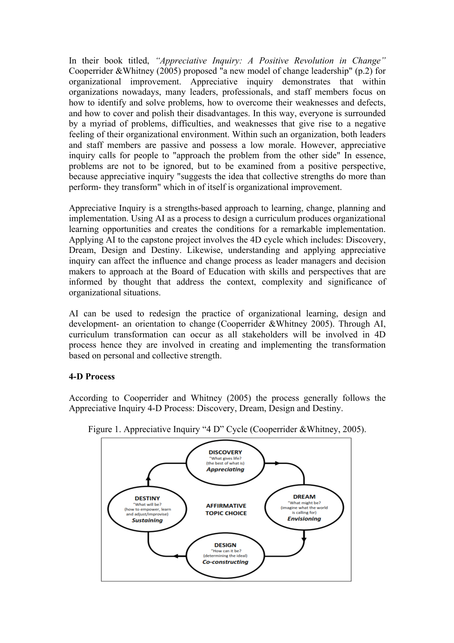In their book titled, *"Appreciative Inquiry: A Positive Revolution in Change"* Cooperrider &Whitney (2005) proposed "a new model of change leadership" (p.2) for organizational improvement. Appreciative inquiry demonstrates that within organizations nowadays, many leaders, professionals, and staff members focus on how to identify and solve problems, how to overcome their weaknesses and defects, and how to cover and polish their disadvantages. In this way, everyone is surrounded by a myriad of problems, difficulties, and weaknesses that give rise to a negative feeling of their organizational environment. Within such an organization, both leaders and staff members are passive and possess a low morale. However, appreciative inquiry calls for people to "approach the problem from the other side" In essence, problems are not to be ignored, but to be examined from a positive perspective, because appreciative inquiry "suggests the idea that collective strengths do more than perform- they transform" which in of itself is organizational improvement.

Appreciative Inquiry is a strengths-based approach to learning, change, planning and implementation. Using AI as a process to design a curriculum produces organizational learning opportunities and creates the conditions for a remarkable implementation. Applying AI to the capstone project involves the 4D cycle which includes: Discovery, Dream, Design and Destiny. Likewise, understanding and applying appreciative inquiry can affect the influence and change process as leader managers and decision makers to approach at the Board of Education with skills and perspectives that are informed by thought that address the context, complexity and significance of organizational situations.

AI can be used to redesign the practice of organizational learning, design and development- an orientation to change (Cooperrider &Whitney 2005). Through AI, curriculum transformation can occur as all stakeholders will be involved in 4D process hence they are involved in creating and implementing the transformation based on personal and collective strength.

## **4-D Process**

According to Cooperrider and Whitney (2005) the process generally follows the Appreciative Inquiry 4-D Process: Discovery, Dream, Design and Destiny.



Figure 1. Appreciative Inquiry "4 D" Cycle (Cooperrider &Whitney, 2005).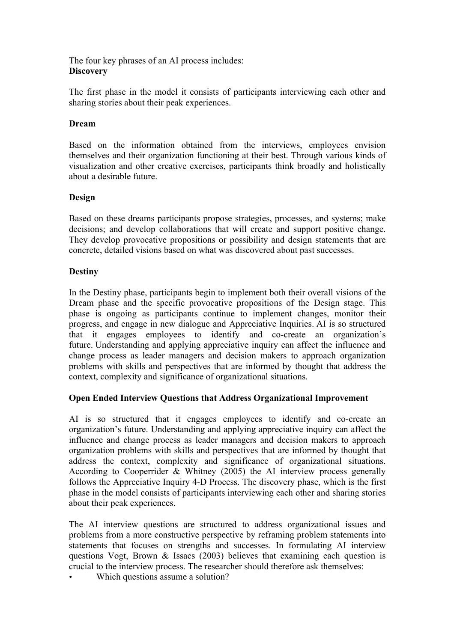The four key phrases of an AI process includes: **Discovery**

The first phase in the model it consists of participants interviewing each other and sharing stories about their peak experiences.

## **Dream**

Based on the information obtained from the interviews, employees envision themselves and their organization functioning at their best. Through various kinds of visualization and other creative exercises, participants think broadly and holistically about a desirable future.

## **Design**

Based on these dreams participants propose strategies, processes, and systems; make decisions; and develop collaborations that will create and support positive change. They develop provocative propositions or possibility and design statements that are concrete, detailed visions based on what was discovered about past successes.

## **Destiny**

In the Destiny phase, participants begin to implement both their overall visions of the Dream phase and the specific provocative propositions of the Design stage. This phase is ongoing as participants continue to implement changes, monitor their progress, and engage in new dialogue and Appreciative Inquiries. AI is so structured that it engages employees to identify and co-create an organization's future. Understanding and applying appreciative inquiry can affect the influence and change process as leader managers and decision makers to approach organization problems with skills and perspectives that are informed by thought that address the context, complexity and significance of organizational situations.

## **Open Ended Interview Questions that Address Organizational Improvement**

AI is so structured that it engages employees to identify and co-create an organization's future. Understanding and applying appreciative inquiry can affect the influence and change process as leader managers and decision makers to approach organization problems with skills and perspectives that are informed by thought that address the context, complexity and significance of organizational situations. According to Cooperrider & Whitney (2005) the AI interview process generally follows the Appreciative Inquiry 4-D Process. The discovery phase, which is the first phase in the model consists of participants interviewing each other and sharing stories about their peak experiences.

The AI interview questions are structured to address organizational issues and problems from a more constructive perspective by reframing problem statements into statements that focuses on strengths and successes. In formulating AI interview questions Vogt, Brown & Issacs (2003) believes that examining each question is crucial to the interview process. The researcher should therefore ask themselves:

Which questions assume a solution?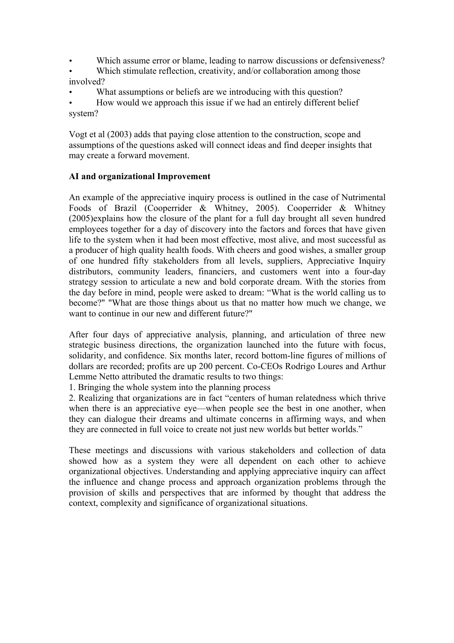- Which assume error or blame, leading to narrow discussions or defensiveness?
- Which stimulate reflection, creativity, and/or collaboration among those involved?
- What assumptions or beliefs are we introducing with this question?
- How would we approach this issue if we had an entirely different belief system?

Vogt et al (2003) adds that paying close attention to the construction, scope and assumptions of the questions asked will connect ideas and find deeper insights that may create a forward movement.

## **AI and organizational Improvement**

An example of the appreciative inquiry process is outlined in the case of Nutrimental Foods of Brazil (Cooperrider & Whitney, 2005). Cooperrider & Whitney (2005)explains how the closure of the plant for a full day brought all seven hundred employees together for a day of discovery into the factors and forces that have given life to the system when it had been most effective, most alive, and most successful as a producer of high quality health foods. With cheers and good wishes, a smaller group of one hundred fifty stakeholders from all levels, suppliers, Appreciative Inquiry distributors, community leaders, financiers, and customers went into a four-day strategy session to articulate a new and bold corporate dream. With the stories from the day before in mind, people were asked to dream: "What is the world calling us to become?" "What are those things about us that no matter how much we change, we want to continue in our new and different future?"

After four days of appreciative analysis, planning, and articulation of three new strategic business directions, the organization launched into the future with focus, solidarity, and confidence. Six months later, record bottom-line figures of millions of dollars are recorded; profits are up 200 percent. Co-CEOs Rodrigo Loures and Arthur Lemme Netto attributed the dramatic results to two things:

1. Bringing the whole system into the planning process

2. Realizing that organizations are in fact "centers of human relatedness which thrive when there is an appreciative eye—when people see the best in one another, when they can dialogue their dreams and ultimate concerns in affirming ways, and when they are connected in full voice to create not just new worlds but better worlds."

These meetings and discussions with various stakeholders and collection of data showed how as a system they were all dependent on each other to achieve organizational objectives. Understanding and applying appreciative inquiry can affect the influence and change process and approach organization problems through the provision of skills and perspectives that are informed by thought that address the context, complexity and significance of organizational situations.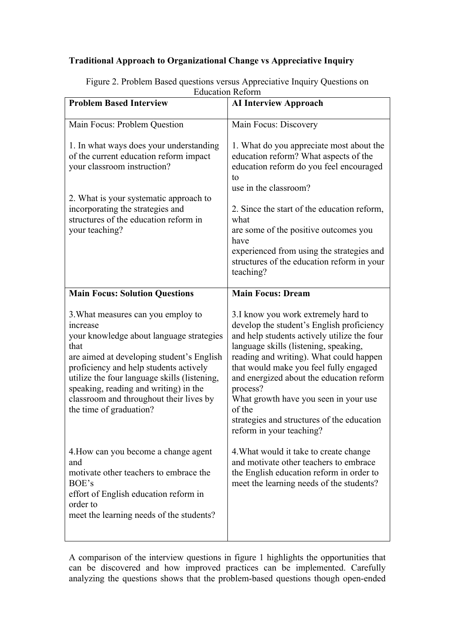## **Traditional Approach to Organizational Change vs Appreciative Inquiry**

| <b>Problem Based Interview</b>                                                                                                                                                                                                                                                                                                                           | <b>AI Interview Approach</b>                                                                                                                                                                                                                                                                                                                                                                                                                       |
|----------------------------------------------------------------------------------------------------------------------------------------------------------------------------------------------------------------------------------------------------------------------------------------------------------------------------------------------------------|----------------------------------------------------------------------------------------------------------------------------------------------------------------------------------------------------------------------------------------------------------------------------------------------------------------------------------------------------------------------------------------------------------------------------------------------------|
| Main Focus: Problem Question                                                                                                                                                                                                                                                                                                                             | Main Focus: Discovery                                                                                                                                                                                                                                                                                                                                                                                                                              |
| 1. In what ways does your understanding<br>of the current education reform impact<br>your classroom instruction?<br>2. What is your systematic approach to<br>incorporating the strategies and<br>structures of the education reform in<br>your teaching?                                                                                                | 1. What do you appreciate most about the<br>education reform? What aspects of the<br>education reform do you feel encouraged<br>to<br>use in the classroom?<br>2. Since the start of the education reform,<br>what<br>are some of the positive outcomes you<br>have<br>experienced from using the strategies and<br>structures of the education reform in your<br>teaching?                                                                        |
| <b>Main Focus: Solution Questions</b>                                                                                                                                                                                                                                                                                                                    | <b>Main Focus: Dream</b>                                                                                                                                                                                                                                                                                                                                                                                                                           |
| 3. What measures can you employ to<br>increase<br>your knowledge about language strategies<br>that<br>are aimed at developing student's English<br>proficiency and help students actively<br>utilize the four language skills (listening,<br>speaking, reading and writing) in the<br>classroom and throughout their lives by<br>the time of graduation? | 3.I know you work extremely hard to<br>develop the student's English proficiency<br>and help students actively utilize the four<br>language skills (listening, speaking,<br>reading and writing). What could happen<br>that would make you feel fully engaged<br>and energized about the education reform<br>process?<br>What growth have you seen in your use<br>of the<br>strategies and structures of the education<br>reform in your teaching? |
| 4. How can you become a change agent<br>and<br>motivate other teachers to embrace the<br>BOE's<br>effort of English education reform in<br>order to<br>meet the learning needs of the students?                                                                                                                                                          | 4. What would it take to create change<br>and motivate other teachers to embrace<br>the English education reform in order to<br>meet the learning needs of the students?                                                                                                                                                                                                                                                                           |

Figure 2. Problem Based questions versus Appreciative Inquiry Questions on Education Reform

A comparison of the interview questions in figure 1 highlights the opportunities that can be discovered and how improved practices can be implemented. Carefully analyzing the questions shows that the problem-based questions though open-ended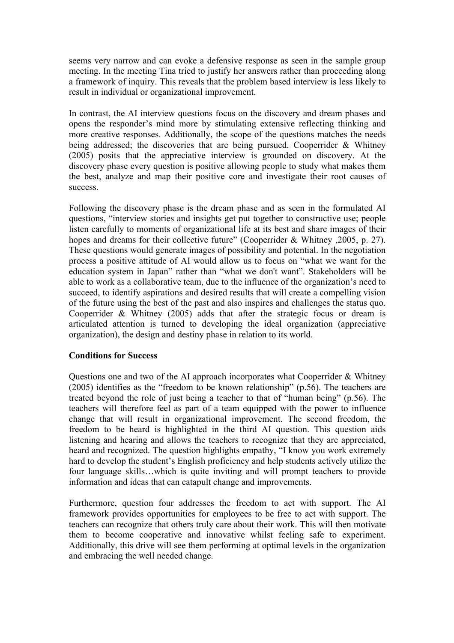seems very narrow and can evoke a defensive response as seen in the sample group meeting. In the meeting Tina tried to justify her answers rather than proceeding along a framework of inquiry. This reveals that the problem based interview is less likely to result in individual or organizational improvement.

In contrast, the AI interview questions focus on the discovery and dream phases and opens the responder's mind more by stimulating extensive reflecting thinking and more creative responses. Additionally, the scope of the questions matches the needs being addressed; the discoveries that are being pursued. Cooperrider & Whitney (2005) posits that the appreciative interview is grounded on discovery. At the discovery phase every question is positive allowing people to study what makes them the best, analyze and map their positive core and investigate their root causes of success.

Following the discovery phase is the dream phase and as seen in the formulated AI questions, "interview stories and insights get put together to constructive use; people listen carefully to moments of organizational life at its best and share images of their hopes and dreams for their collective future" (Cooperrider & Whitney ,2005, p. 27). These questions would generate images of possibility and potential. In the negotiation process a positive attitude of AI would allow us to focus on "what we want for the education system in Japan" rather than "what we don't want". Stakeholders will be able to work as a collaborative team, due to the influence of the organization's need to succeed, to identify aspirations and desired results that will create a compelling vision of the future using the best of the past and also inspires and challenges the status quo. Cooperrider & Whitney (2005) adds that after the strategic focus or dream is articulated attention is turned to developing the ideal organization (appreciative organization), the design and destiny phase in relation to its world.

#### **Conditions for Success**

Questions one and two of the AI approach incorporates what Cooperrider & Whitney (2005) identifies as the "freedom to be known relationship" (p.56). The teachers are treated beyond the role of just being a teacher to that of "human being" (p.56). The teachers will therefore feel as part of a team equipped with the power to influence change that will result in organizational improvement. The second freedom, the freedom to be heard is highlighted in the third AI question. This question aids listening and hearing and allows the teachers to recognize that they are appreciated, heard and recognized. The question highlights empathy, "I know you work extremely hard to develop the student's English proficiency and help students actively utilize the four language skills…which is quite inviting and will prompt teachers to provide information and ideas that can catapult change and improvements.

Furthermore, question four addresses the freedom to act with support. The AI framework provides opportunities for employees to be free to act with support. The teachers can recognize that others truly care about their work. This will then motivate them to become cooperative and innovative whilst feeling safe to experiment. Additionally, this drive will see them performing at optimal levels in the organization and embracing the well needed change.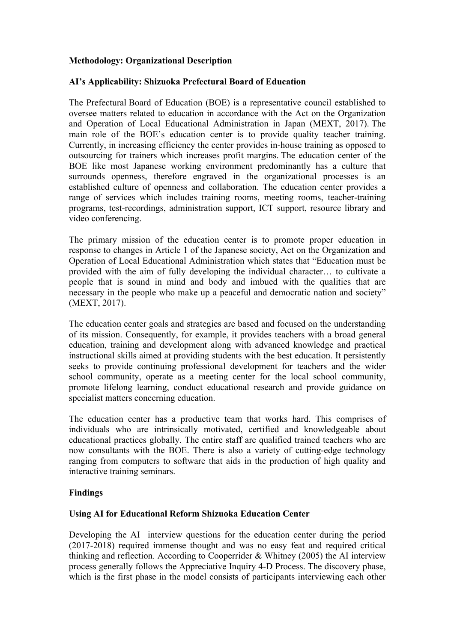## **Methodology: Organizational Description**

## **AI's Applicability: Shizuoka Prefectural Board of Education**

The Prefectural Board of Education (BOE) is a representative council established to oversee matters related to education in accordance with the Act on the Organization and Operation of Local Educational Administration in Japan (MEXT, 2017). The main role of the BOE's education center is to provide quality teacher training. Currently, in increasing efficiency the center provides in-house training as opposed to outsourcing for trainers which increases profit margins. The education center of the BOE like most Japanese working environment predominantly has a culture that surrounds openness, therefore engraved in the organizational processes is an established culture of openness and collaboration. The education center provides a range of services which includes training rooms, meeting rooms, teacher-training programs, test-recordings, administration support, ICT support, resource library and video conferencing.

The primary mission of the education center is to promote proper education in response to changes in Article 1 of the Japanese society, Act on the Organization and Operation of Local Educational Administration which states that "Education must be provided with the aim of fully developing the individual character… to cultivate a people that is sound in mind and body and imbued with the qualities that are necessary in the people who make up a peaceful and democratic nation and society" (MEXT, 2017).

The education center goals and strategies are based and focused on the understanding of its mission. Consequently, for example, it provides teachers with a broad general education, training and development along with advanced knowledge and practical instructional skills aimed at providing students with the best education. It persistently seeks to provide continuing professional development for teachers and the wider school community, operate as a meeting center for the local school community, promote lifelong learning, conduct educational research and provide guidance on specialist matters concerning education.

The education center has a productive team that works hard. This comprises of individuals who are intrinsically motivated, certified and knowledgeable about educational practices globally. The entire staff are qualified trained teachers who are now consultants with the BOE. There is also a variety of cutting-edge technology ranging from computers to software that aids in the production of high quality and interactive training seminars.

#### **Findings**

#### **Using AI for Educational Reform Shizuoka Education Center**

Developing the AI interview questions for the education center during the period (2017-2018) required immense thought and was no easy feat and required critical thinking and reflection. According to Cooperrider & Whitney (2005) the AI interview process generally follows the Appreciative Inquiry 4-D Process. The discovery phase, which is the first phase in the model consists of participants interviewing each other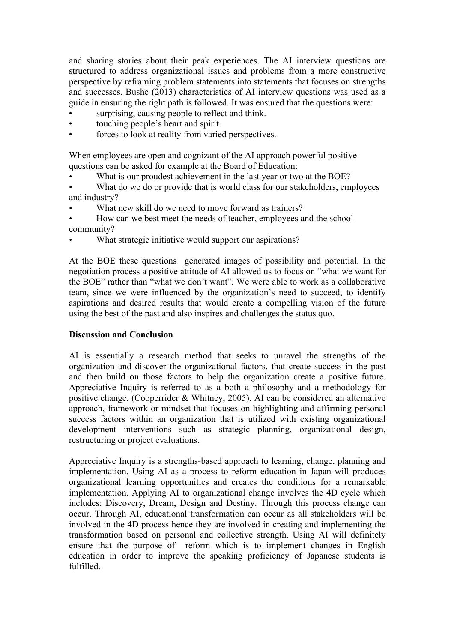and sharing stories about their peak experiences. The AI interview questions are structured to address organizational issues and problems from a more constructive perspective by reframing problem statements into statements that focuses on strengths and successes. Bushe (2013) characteristics of AI interview questions was used as a guide in ensuring the right path is followed. It was ensured that the questions were:

- surprising, causing people to reflect and think.
- touching people's heart and spirit.
- forces to look at reality from varied perspectives.

When employees are open and cognizant of the AI approach powerful positive questions can be asked for example at the Board of Education:

- What is our proudest achievement in the last year or two at the BOE?
- What do we do or provide that is world class for our stakeholders, employees and industry?
- What new skill do we need to move forward as trainers?
- How can we best meet the needs of teacher, employees and the school community?
- What strategic initiative would support our aspirations?

At the BOE these questions generated images of possibility and potential. In the negotiation process a positive attitude of AI allowed us to focus on "what we want for the BOE" rather than "what we don't want". We were able to work as a collaborative team, since we were influenced by the organization's need to succeed, to identify aspirations and desired results that would create a compelling vision of the future using the best of the past and also inspires and challenges the status quo.

#### **Discussion and Conclusion**

AI is essentially a research method that seeks to unravel the strengths of the organization and discover the organizational factors, that create success in the past and then build on those factors to help the organization create a positive future. Appreciative Inquiry is referred to as a both a philosophy and a methodology for positive change. (Cooperrider & Whitney, 2005). AI can be considered an alternative approach, framework or mindset that focuses on highlighting and affirming personal success factors within an organization that is utilized with existing organizational development interventions such as strategic planning, organizational design, restructuring or project evaluations.

Appreciative Inquiry is a strengths-based approach to learning, change, planning and implementation. Using AI as a process to reform education in Japan will produces organizational learning opportunities and creates the conditions for a remarkable implementation. Applying AI to organizational change involves the 4D cycle which includes: Discovery, Dream, Design and Destiny. Through this process change can occur. Through AI, educational transformation can occur as all stakeholders will be involved in the 4D process hence they are involved in creating and implementing the transformation based on personal and collective strength. Using AI will definitely ensure that the purpose of reform which is to implement changes in English education in order to improve the speaking proficiency of Japanese students is fulfilled.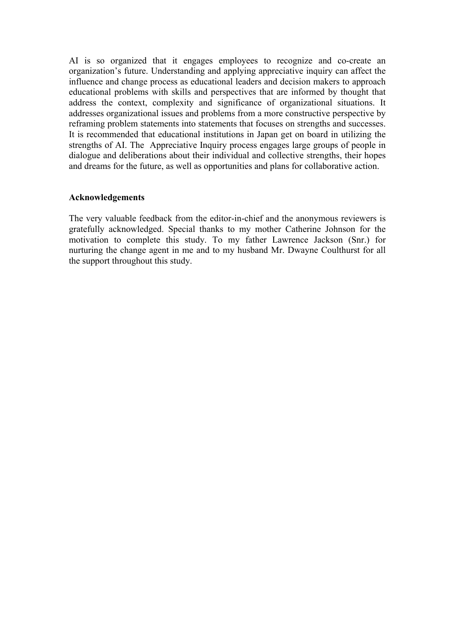AI is so organized that it engages employees to recognize and co-create an organization's future. Understanding and applying appreciative inquiry can affect the influence and change process as educational leaders and decision makers to approach educational problems with skills and perspectives that are informed by thought that address the context, complexity and significance of organizational situations. It addresses organizational issues and problems from a more constructive perspective by reframing problem statements into statements that focuses on strengths and successes. It is recommended that educational institutions in Japan get on board in utilizing the strengths of AI. The Appreciative Inquiry process engages large groups of people in dialogue and deliberations about their individual and collective strengths, their hopes and dreams for the future, as well as opportunities and plans for collaborative action.

#### **Acknowledgements**

The very valuable feedback from the editor-in-chief and the anonymous reviewers is gratefully acknowledged. Special thanks to my mother Catherine Johnson for the motivation to complete this study. To my father Lawrence Jackson (Snr.) for nurturing the change agent in me and to my husband Mr. Dwayne Coulthurst for all the support throughout this study.